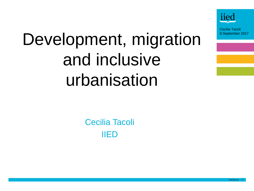

# Development, migration and inclusive urbanisation

Cecilia Tacoli IIED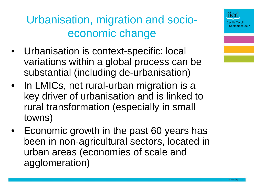Urbanisation, migration and socioeconomic change

- Urbanisation is context-specific: local variations within a global process can be substantial (including de-urbanisation)
- In LMICs, net rural-urban migration is a key driver of urbanisation and is linked to rural transformation (especially in small towns)
- Economic growth in the past 60 years has been in non-agricultural sectors, located in urban areas (economies of scale and agglomeration)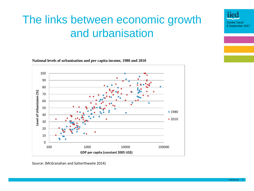# The links between economic growth  $\frac{Iied}{\frac{Cecilla Taccoli}{\frac{Cecilla Taccoli}{\frac{Secville Taccoli}{\frac{Secville Taccoli}{\frac{Secville Taccoli}{\frac{Sacobi}{\frac{Sacobi}{\frac{Sacobi}{\frac{Sacobi}{\frac{Sacobi}{\frac{Sacobi}{\frac{Sacobi}{\frac{Sacobi}{\frac{Sacobi}{\frac{Sacobi}{\frac{Sacobi}{\frac{Sacobi}{\frac{Sacobi}{\frac{Sacobi}{\frac{Sacobi}{\frac{Sacobi}{\frac{Sacobi}{\frac{Sacobi}{\frac{Sac$ and urbanisation

**National levels of urbanisation and per capita income, 1980 and 2010**



Source: (McGranahan and Satterthwaite 2014)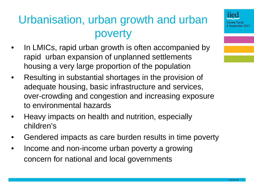# Urbanisation, urban growth and urban poverty

- In LMICs, rapid urban growth is often accompanied by rapid urban expansion of unplanned settlements housing a very large proportion of the population
- Resulting in substantial shortages in the provision of adequate housing, basic infrastructure and services, over-crowding and congestion and increasing exposure to environmental hazards
- Heavy impacts on health and nutrition, especially children's
- Gendered impacts as care burden results in time poverty
- Income and non-income urban poverty a growing concern for national and local governments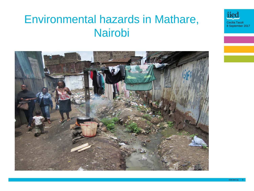#### Environmental hazards in Mathare, **Nairobi**

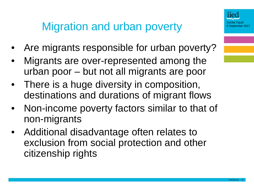# Migration and urban poverty

- Are migrants responsible for urban poverty?
- Migrants are over-represented among the urban poor – but not all migrants are poor
- There is a huge diversity in composition, destinations and durations of migrant flows
- Non-income poverty factors similar to that of non-migrants
- Additional disadvantage often relates to exclusion from social protection and other citizenship rights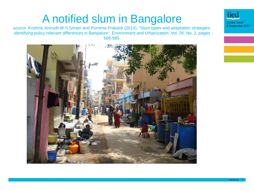#### A notified slum in Bangalore

source: Krishna, Anirudh M S Sriram and Purnima Prakash (2014), "Slum types and adaptation strategies: identifying policy-relevant differences in Bangalore", Environment and Urbanization, Vol. 26, No. 2, pages 568-585.



iiec Cecilia Tacoli 8 September 2017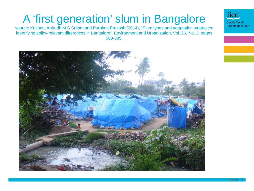# A 'first generation' slum in Bangalore

source: Krishna, Anirudh M S Sriram and Purnima Prakash (2014), "Slum types and adaptation strategies: identifying policy-relevant differences in Bangalore", Environment and Urbanization, Vol. 26, No. 2, pages 568-585.



Cecilia Tacoli 8 September 2017

iied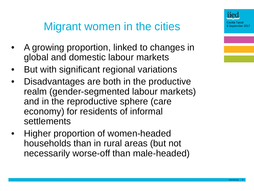#### Migrant women in the cities

- A growing proportion, linked to changes in global and domestic labour markets
- But with significant regional variations
- Disadvantages are both in the productive realm (gender-segmented labour markets) and in the reproductive sphere (care economy) for residents of informal settlements
- Higher proportion of women-headed households than in rural areas (but not necessarily worse-off than male-headed)

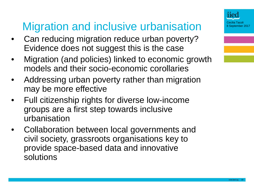# Migration and inclusive urbanisation

- Can reducing migration reduce urban poverty? Evidence does not suggest this is the case
- Migration (and policies) linked to economic growth models and their socio-economic corollaries
- Addressing urban poverty rather than migration may be more effective
- Full citizenship rights for diverse low-income groups are a first step towards inclusive urbanisation
- Collaboration between local governments and civil society, grassroots organisations key to provide space-based data and innovative solutions